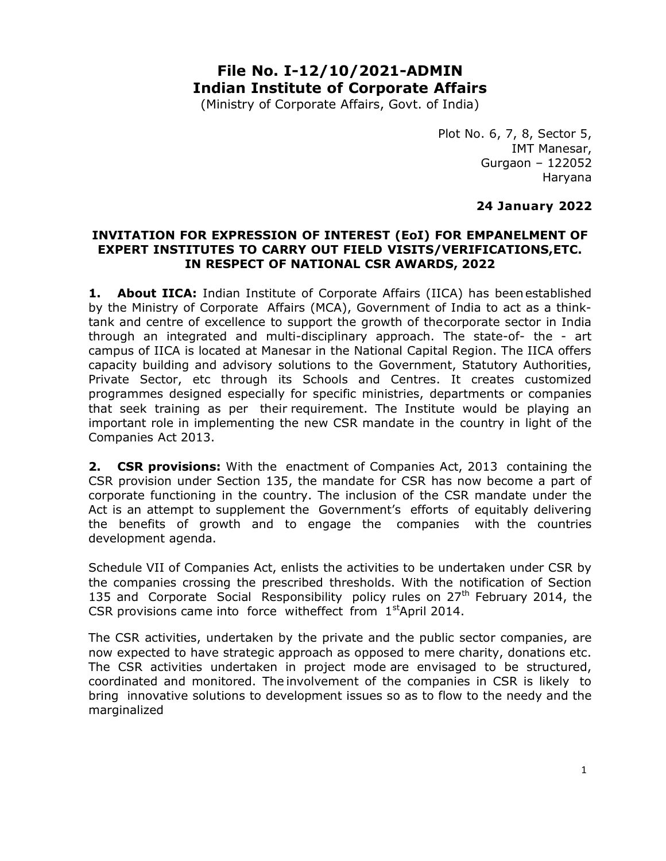# File No. I-12/10/2021-ADMIN Indian Institute of Corporate Affairs

(Ministry of Corporate Affairs, Govt. of India)

Plot No. 6, 7, 8, Sector 5, IMT Manesar, Gurgaon – 122052 Haryana

#### 24 January 2022

#### INVITATION FOR EXPRESSION OF INTEREST (EoI) FOR EMPANELMENT OF EXPERT INSTITUTES TO CARRY OUT FIELD VISITS/VERIFICATIONS, ETC. IN RESPECT OF NATIONAL CSR AWARDS, 2022

1. About IICA: Indian Institute of Corporate Affairs (IICA) has been established by the Ministry of Corporate Affairs (MCA), Government of India to act as a thinktank and centre of excellence to support the growth of the corporate sector in India through an integrated and multi-disciplinary approach. The state-of- the - art campus of IICA is located at Manesar in the National Capital Region. The IICA offers capacity building and advisory solutions to the Government, Statutory Authorities, Private Sector, etc through its Schools and Centres. It creates customized programmes designed especially for specific ministries, departments or companies that seek training as per their requirement. The Institute would be playing an important role in implementing the new CSR mandate in the country in light of the Companies Act 2013.

2. CSR provisions: With the enactment of Companies Act, 2013 containing the CSR provision under Section 135, the mandate for CSR has now become a part of corporate functioning in the country. The inclusion of the CSR mandate under the Act is an attempt to supplement the Government's efforts of equitably delivering the benefits of growth and to engage the companies with the countries development agenda.

Schedule VII of Companies Act, enlists the activities to be undertaken under CSR by the companies crossing the prescribed thresholds. With the notification of Section 135 and Corporate Social Responsibility policy rules on  $27<sup>th</sup>$  February 2014, the CSR provisions came into force with effect from  $1<sup>st</sup>$ April 2014.

The CSR activities, undertaken by the private and the public sector companies, are now expected to have strategic approach as opposed to mere charity, donations etc. The CSR activities undertaken in project mode are envisaged to be structured, coordinated and monitored. The involvement of the companies in CSR is likely to bring innovative solutions to development issues so as to flow to the needy and the marginalized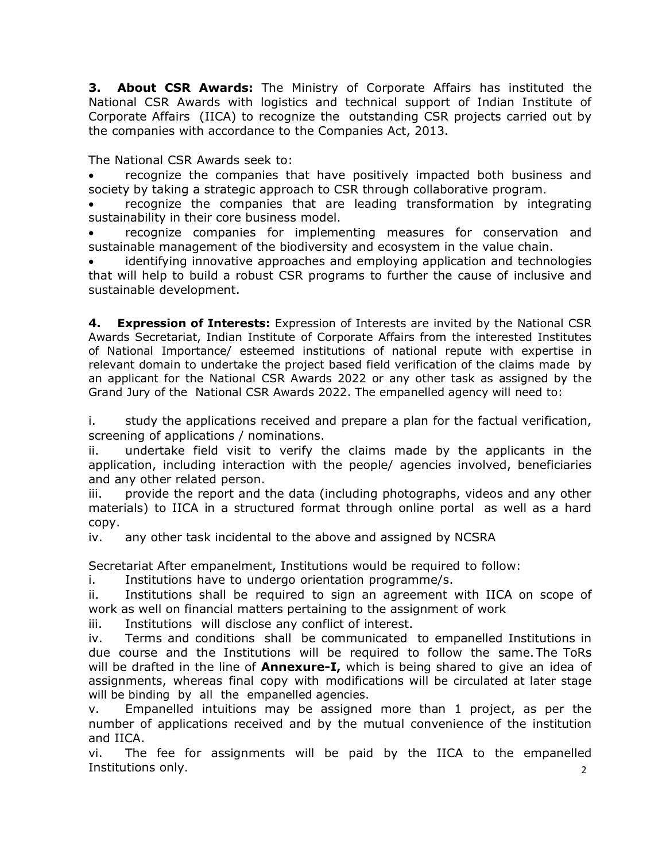**3. About CSR Awards:** The Ministry of Corporate Affairs has instituted the National CSR Awards with logistics and technical support of Indian Institute of Corporate Affairs (IICA) to recognize the outstanding CSR projects carried out by the companies with accordance to the Companies Act, 2013.

The National CSR Awards seek to:

 recognize the companies that have positively impacted both business and society by taking a strategic approach to CSR through collaborative program.

 recognize the companies that are leading transformation by integrating sustainability in their core business model.

 recognize companies for implementing measures for conservation and sustainable management of the biodiversity and ecosystem in the value chain.

 identifying innovative approaches and employing application and technologies that will help to build a robust CSR programs to further the cause of inclusive and sustainable development.

4. Expression of Interests: Expression of Interests are invited by the National CSR Awards Secretariat, Indian Institute of Corporate Affairs from the interested Institutes of National Importance/ esteemed institutions of national repute with expertise in relevant domain to undertake the project based field verification of the claims made by an applicant for the National CSR Awards 2022 or any other task as assigned by the Grand Jury of the National CSR Awards 2022. The empanelled agency will need to:

i. study the applications received and prepare a plan for the factual verification, screening of applications / nominations.

ii. undertake field visit to verify the claims made by the applicants in the application, including interaction with the people/ agencies involved, beneficiaries and any other related person.

iii. provide the report and the data (including photographs, videos and any other materials) to IICA in a structured format through online portal as well as a hard copy.

iv. any other task incidental to the above and assigned by NCSRA

Secretariat After empanelment, Institutions would be required to follow:

i. Institutions have to undergo orientation programme/s.

ii. Institutions shall be required to sign an agreement with IICA on scope of work as well on financial matters pertaining to the assignment of work

iii. Institutions will disclose any conflict of interest.

iv. Terms and conditions shall be communicated to empanelled Institutions in due course and the Institutions will be required to follow the same. The ToRs will be drafted in the line of **Annexure-I**, which is being shared to give an idea of assignments, whereas final copy with modifications will be circulated at later stage will be binding by all the empanelled agencies.

v. Empanelled intuitions may be assigned more than 1 project, as per the number of applications received and by the mutual convenience of the institution and IICA.

2 vi. The fee for assignments will be paid by the IICA to the empanelled Institutions only.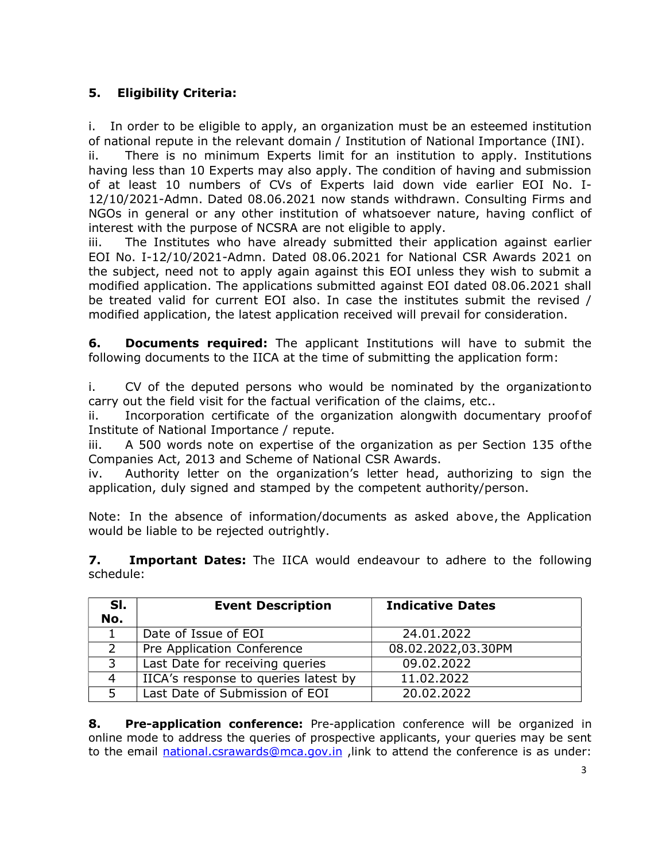## 5. Eligibility Criteria:

i. In order to be eligible to apply, an organization must be an esteemed institution of national repute in the relevant domain / Institution of National Importance (INI).

ii. There is no minimum Experts limit for an institution to apply. Institutions having less than 10 Experts may also apply. The condition of having and submission of at least 10 numbers of CVs of Experts laid down vide earlier EOI No. I-12/10/2021-Admn. Dated 08.06.2021 now stands withdrawn. Consulting Firms and NGOs in general or any other institution of whatsoever nature, having conflict of interest with the purpose of NCSRA are not eligible to apply.

iii. The Institutes who have already submitted their application against earlier EOI No. I-12/10/2021-Admn. Dated 08.06.2021 for National CSR Awards 2021 on the subject, need not to apply again against this EOI unless they wish to submit a modified application. The applications submitted against EOI dated 08.06.2021 shall be treated valid for current EOI also. In case the institutes submit the revised / modified application, the latest application received will prevail for consideration.

**6.** Documents required: The applicant Institutions will have to submit the following documents to the IICA at the time of submitting the application form:

i. CV of the deputed persons who would be nominated by the organization to carry out the field visit for the factual verification of the claims, etc..

ii. Incorporation certificate of the organization alongwith documentary proof of Institute of National Importance / repute.

iii. A 500 words note on expertise of the organization as per Section 135 of the Companies Act, 2013 and Scheme of National CSR Awards.

iv. Authority letter on the organization's letter head, authorizing to sign the application, duly signed and stamped by the competent authority/person.

Note: In the absence of information/documents as asked above, the Application would be liable to be rejected outrightly.

7. Important Dates: The IICA would endeavour to adhere to the following schedule:

| SI.<br>No.     | <b>Event Description</b>             | <b>Indicative Dates</b> |
|----------------|--------------------------------------|-------------------------|
|                | Date of Issue of EOI                 | 24.01.2022              |
|                | Pre Application Conference           | 08.02.2022,03.30PM      |
| $\overline{3}$ | Last Date for receiving queries      | 09.02.2022              |
| Δ              | IICA's response to queries latest by | 11.02.2022              |
| 5              | Last Date of Submission of EOI       | 20.02.2022              |

8. Pre-application conference: Pre-application conference will be organized in online mode to address the queries of prospective applicants, your queries may be sent to the email national.csrawards@mca.gov.in, link to attend the conference is as under: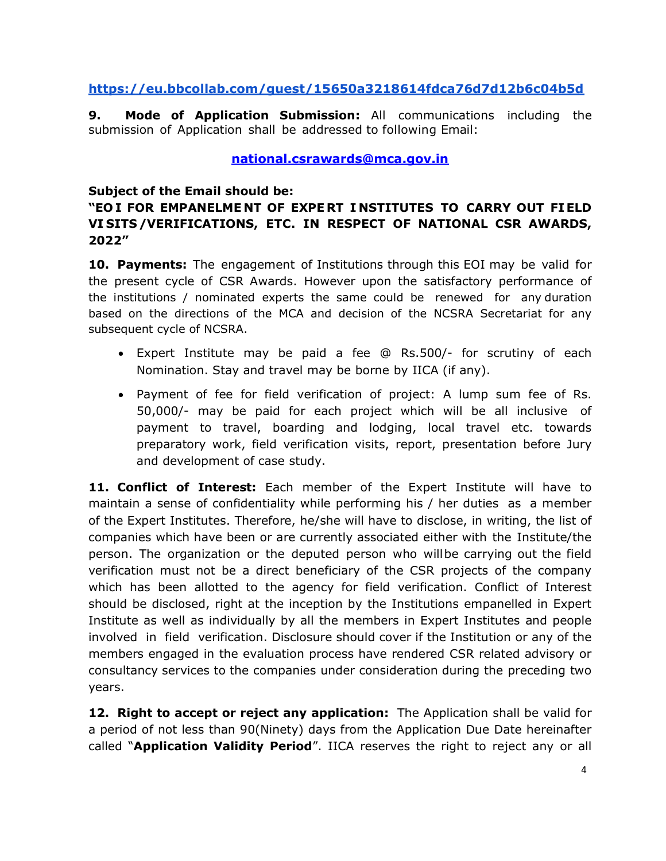## https://eu.bbcollab.com/guest/15650a3218614fdca76d7d12b6c04b5d

9. Mode of Application Submission: All communications including the submission of Application shall be addressed to following Email:

#### national.csrawards@mca.gov.in

#### Subject of the Email should be:

## "EO I FOR EMPANELME NT OF EXPE RT I NSTITUTES TO CARRY OUT FI ELD VI SITS /VERIFICATIONS, ETC. IN RESPECT OF NATIONAL CSR AWARDS, 2022"

**10. Payments:** The engagement of Institutions through this EOI may be valid for the present cycle of CSR Awards. However upon the satisfactory performance of the institutions / nominated experts the same could be renewed for any duration based on the directions of the MCA and decision of the NCSRA Secretariat for any subsequent cycle of NCSRA.

- Expert Institute may be paid a fee @ Rs.500/- for scrutiny of each Nomination. Stay and travel may be borne by IICA (if any).
- Payment of fee for field verification of project: A lump sum fee of Rs. 50,000/- may be paid for each project which will be all inclusive of payment to travel, boarding and lodging, local travel etc. towards preparatory work, field verification visits, report, presentation before Jury and development of case study.

11. Conflict of Interest: Each member of the Expert Institute will have to maintain a sense of confidentiality while performing his / her duties as a member of the Expert Institutes. Therefore, he/she will have to disclose, in writing, the list of companies which have been or are currently associated either with the Institute/the person. The organization or the deputed person who will be carrying out the field verification must not be a direct beneficiary of the CSR projects of the company which has been allotted to the agency for field verification. Conflict of Interest should be disclosed, right at the inception by the Institutions empanelled in Expert Institute as well as individually by all the members in Expert Institutes and people involved in field verification. Disclosure should cover if the Institution or any of the members engaged in the evaluation process have rendered CSR related advisory or consultancy services to the companies under consideration during the preceding two years.

**12. Right to accept or reject any application:** The Application shall be valid for a period of not less than 90(Ninety) days from the Application Due Date hereinafter called "Application Validity Period". IICA reserves the right to reject any or all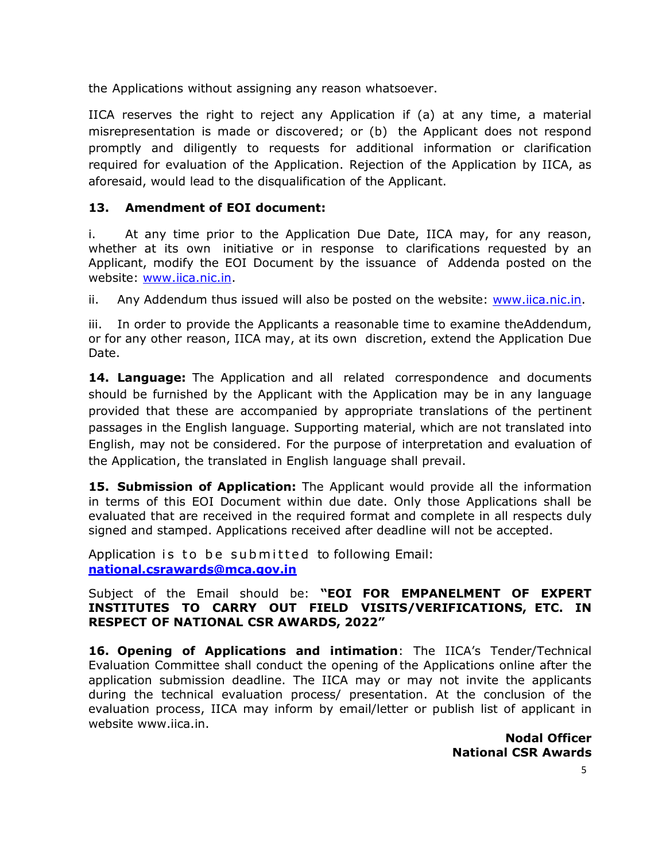the Applications without assigning any reason whatsoever.

IICA reserves the right to reject any Application if (a) at any time, a material misrepresentation is made or discovered; or (b) the Applicant does not respond promptly and diligently to requests for additional information or clarification required for evaluation of the Application. Rejection of the Application by IICA, as aforesaid, would lead to the disqualification of the Applicant.

#### 13. Amendment of EOI document:

i. At any time prior to the Application Due Date, IICA may, for any reason, whether at its own initiative or in response to clarifications requested by an Applicant, modify the EOI Document by the issuance of Addenda posted on the website: www.iica.nic.in.

ii. Any Addendum thus issued will also be posted on the website: www.iica.nic.in.

iii. In order to provide the Applicants a reasonable time to examine the Addendum, or for any other reason, IICA may, at its own discretion, extend the Application Due Date.

14. Language: The Application and all related correspondence and documents should be furnished by the Applicant with the Application may be in any language provided that these are accompanied by appropriate translations of the pertinent passages in the English language. Supporting material, which are not translated into English, may not be considered. For the purpose of interpretation and evaluation of the Application, the translated in English language shall prevail.

**15. Submission of Application:** The Applicant would provide all the information in terms of this EOI Document within due date. Only those Applications shall be evaluated that are received in the required format and complete in all respects duly signed and stamped. Applications received after deadline will not be accepted.

Application is to be submitted to following Email: national.csrawards@mca.gov.in

#### Subject of the Email should be: "EOI FOR EMPANELMENT OF EXPERT INSTITUTES TO CARRY OUT FIELD VISITS/VERIFICATIONS, ETC. IN RESPECT OF NATIONAL CSR AWARDS, 2022"

16. Opening of Applications and intimation: The IICA's Tender/Technical Evaluation Committee shall conduct the opening of the Applications online after the application submission deadline. The IICA may or may not invite the applicants during the technical evaluation process/ presentation. At the conclusion of the evaluation process, IICA may inform by email/letter or publish list of applicant in website www.iica.in.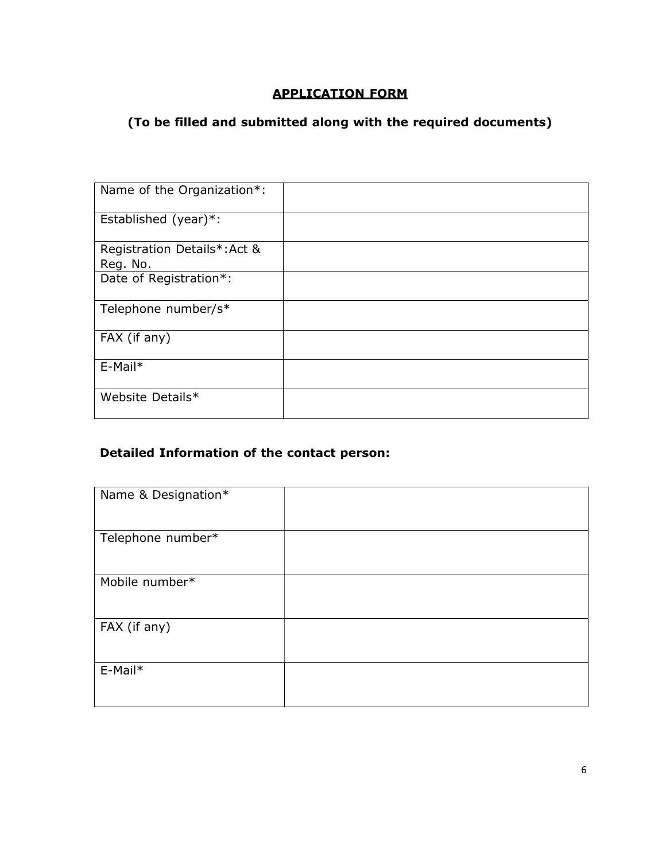## APPLICATION FORM

## (To be filled and submitted along with the required documents)

| Name of the Organization*:               |  |
|------------------------------------------|--|
| Established (year)*:                     |  |
| Registration Details*: Act &<br>Reg. No. |  |
| Date of Registration*:                   |  |
| Telephone number/s*                      |  |
| FAX (if any)                             |  |
| E-Mail*                                  |  |
| Website Details*                         |  |

## Detailed Information of the contact person:

| Name & Designation* |  |
|---------------------|--|
| Telephone number*   |  |
| Mobile number*      |  |
| FAX (if any)        |  |
| E-Mail*             |  |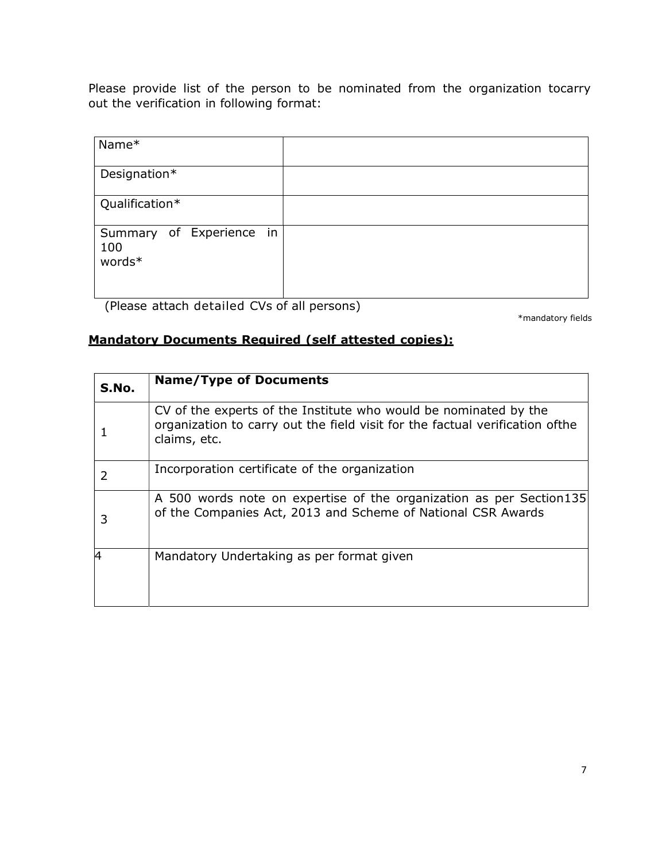Please provide list of the person to be nominated from the organization tocarry out the verification in following format:

| Name*                                       |  |
|---------------------------------------------|--|
| Designation*                                |  |
| Qualification*                              |  |
| Summary of Experience in<br>$100$<br>words* |  |

(Please attach detailed CVs of all persons)

\*mandatory fields

### Mandatory Documents Required (self attested copies):

| S.No. | <b>Name/Type of Documents</b>                                                                                                                                     |
|-------|-------------------------------------------------------------------------------------------------------------------------------------------------------------------|
|       | CV of the experts of the Institute who would be nominated by the<br>organization to carry out the field visit for the factual verification of the<br>claims, etc. |
|       | Incorporation certificate of the organization                                                                                                                     |
| 3     | A 500 words note on expertise of the organization as per Section 135<br>of the Companies Act, 2013 and Scheme of National CSR Awards                              |
|       | Mandatory Undertaking as per format given                                                                                                                         |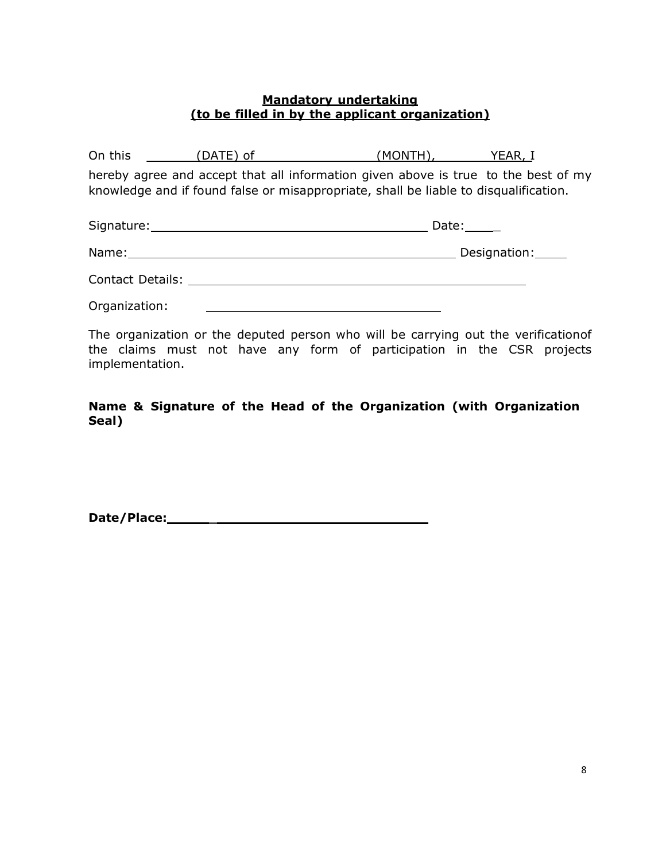#### Mandatory undertaking (to be filled in by the applicant organization)

|               | On this (DATE) of | (MONTH), YEAR, I                                                                                                                                                           |              |
|---------------|-------------------|----------------------------------------------------------------------------------------------------------------------------------------------------------------------------|--------------|
|               |                   | hereby agree and accept that all information given above is true to the best of my<br>knowledge and if found false or misappropriate, shall be liable to disqualification. |              |
|               |                   | Date: $\_\_$                                                                                                                                                               |              |
|               |                   |                                                                                                                                                                            | Designation: |
|               |                   |                                                                                                                                                                            |              |
| Organization: |                   |                                                                                                                                                                            |              |

The organization or the deputed person who will be carrying out the verification of the claims must not have any form of participation in the CSR projects implementation.

#### Name & Signature of the Head of the Organization (with Organization Seal)

Date/Place: \_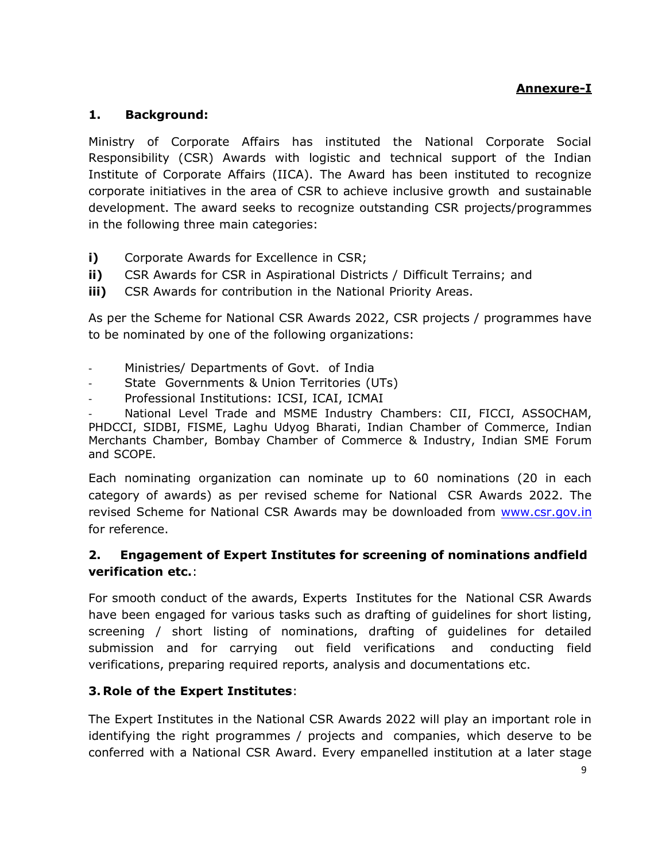## Annexure-I

#### 1. Background:

Ministry of Corporate Affairs has instituted the National Corporate Social Responsibility (CSR) Awards with logistic and technical support of the Indian Institute of Corporate Affairs (IICA). The Award has been instituted to recognize corporate initiatives in the area of CSR to achieve inclusive growth and sustainable development. The award seeks to recognize outstanding CSR projects/programmes in the following three main categories:

- i) Corporate Awards for Excellence in CSR;
- ii) CSR Awards for CSR in Aspirational Districts / Difficult Terrains; and
- **iii)** CSR Awards for contribution in the National Priority Areas.

As per the Scheme for National CSR Awards 2022, CSR projects / programmes have to be nominated by one of the following organizations:

- Ministries/ Departments of Govt. of India
- State Governments & Union Territories (UTs)
- Professional Institutions: ICSI, ICAI, ICMAI

National Level Trade and MSME Industry Chambers: CII, FICCI, ASSOCHAM, PHDCCI, SIDBI, FISME, Laghu Udyog Bharati, Indian Chamber of Commerce, Indian Merchants Chamber, Bombay Chamber of Commerce & Industry, Indian SME Forum and SCOPE.

Each nominating organization can nominate up to 60 nominations (20 in each category of awards) as per revised scheme for National CSR Awards 2022. The revised Scheme for National CSR Awards may be downloaded from www.csr.gov.in for reference.

#### 2. Engagement of Expert Institutes for screening of nominations and field verification etc.:

For smooth conduct of the awards, Experts Institutes for the National CSR Awards have been engaged for various tasks such as drafting of guidelines for short listing, screening / short listing of nominations, drafting of guidelines for detailed submission and for carrying out field verifications and conducting field verifications, preparing required reports, analysis and documentations etc.

#### 3. Role of the Expert Institutes:

The Expert Institutes in the National CSR Awards 2022 will play an important role in identifying the right programmes / projects and companies, which deserve to be conferred with a National CSR Award. Every empanelled institution at a later stage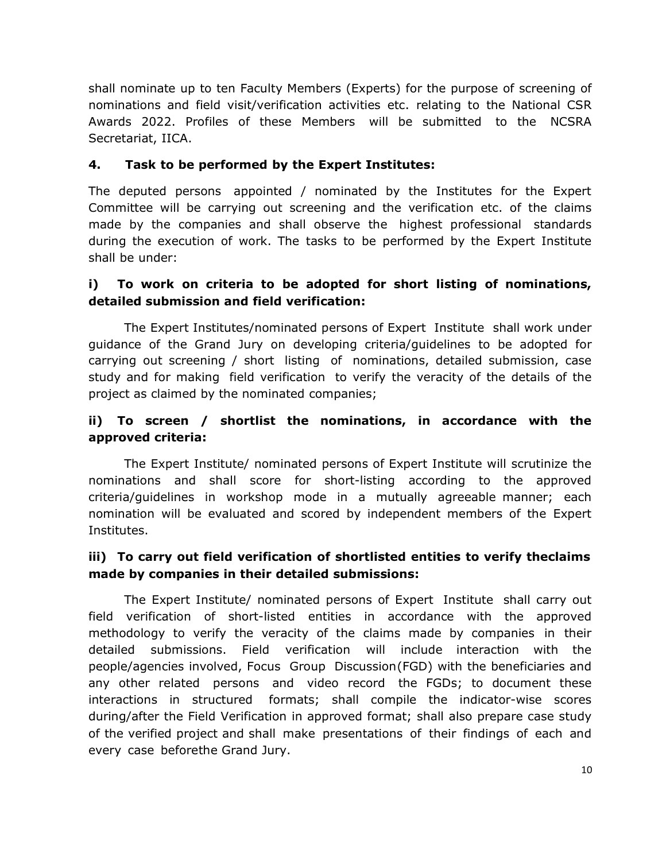shall nominate up to ten Faculty Members (Experts) for the purpose of screening of nominations and field visit/verification activities etc. relating to the National CSR Awards 2022. Profiles of these Members will be submitted to the NCSRA Secretariat, IICA.

#### 4. Task to be performed by the Expert Institutes:

The deputed persons appointed / nominated by the Institutes for the Expert Committee will be carrying out screening and the verification etc. of the claims made by the companies and shall observe the highest professional standards during the execution of work. The tasks to be performed by the Expert Institute shall be under:

### i) To work on criteria to be adopted for short listing of nominations, detailed submission and field verification:

The Expert Institutes/nominated persons of Expert Institute shall work under guidance of the Grand Jury on developing criteria/guidelines to be adopted for carrying out screening / short listing of nominations, detailed submission, case study and for making field verification to verify the veracity of the details of the project as claimed by the nominated companies;

### ii) To screen / shortlist the nominations, in accordance with the approved criteria:

The Expert Institute/ nominated persons of Expert Institute will scrutinize the nominations and shall score for short-listing according to the approved criteria/guidelines in workshop mode in a mutually agreeable manner; each nomination will be evaluated and scored by independent members of the Expert Institutes.

### iii) To carry out field verification of shortlisted entities to verify theclaims made by companies in their detailed submissions:

The Expert Institute/ nominated persons of Expert Institute shall carry out field verification of short-listed entities in accordance with the approved methodology to verify the veracity of the claims made by companies in their detailed submissions. Field verification will include interaction with the people/agencies involved, Focus Group Discussion (FGD) with the beneficiaries and any other related persons and video record the FGDs; to document these interactions in structured formats; shall compile the indicator-wise scores during/after the Field Verification in approved format; shall also prepare case study of the verified project and shall make presentations of their findings of each and every case beforethe Grand Jury.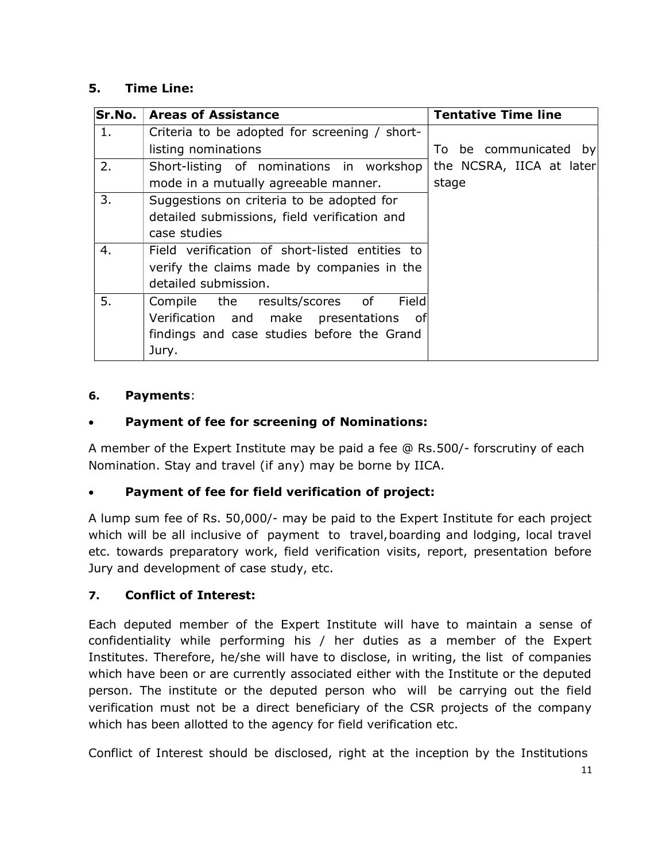### 5. Time Line:

| Sr.No. | <b>Areas of Assistance</b>                     | <b>Tentative Time line</b> |
|--------|------------------------------------------------|----------------------------|
| 1.     | Criteria to be adopted for screening / short-  |                            |
|        | listing nominations                            | To be communicated by      |
| 2.     | Short-listing of nominations in workshop       | the NCSRA, IICA at later   |
|        | mode in a mutually agreeable manner.           | stage                      |
| 3.     | Suggestions on criteria to be adopted for      |                            |
|        | detailed submissions, field verification and   |                            |
|        | case studies                                   |                            |
| 4.     | Field verification of short-listed entities to |                            |
|        | verify the claims made by companies in the     |                            |
|        | detailed submission.                           |                            |
| 5.     | Compile the results/scores of<br>Fieldl        |                            |
|        | Verification and make presentations of         |                            |
|        | findings and case studies before the Grand     |                            |
|        | Jury.                                          |                            |

### 6. Payments:

### Payment of fee for screening of Nominations:

A member of the Expert Institute may be paid a fee @ Rs.500/- forscrutiny of each Nomination. Stay and travel (if any) may be borne by IICA.

#### Payment of fee for field verification of project:

A lump sum fee of Rs. 50,000/- may be paid to the Expert Institute for each project which will be all inclusive of payment to travel, boarding and lodging, local travel etc. towards preparatory work, field verification visits, report, presentation before Jury and development of case study, etc.

#### 7. Conflict of Interest:

Each deputed member of the Expert Institute will have to maintain a sense of confidentiality while performing his / her duties as a member of the Expert Institutes. Therefore, he/she will have to disclose, in writing, the list of companies which have been or are currently associated either with the Institute or the deputed person. The institute or the deputed person who will be carrying out the field verification must not be a direct beneficiary of the CSR projects of the company which has been allotted to the agency for field verification etc.

Conflict of Interest should be disclosed, right at the inception by the Institutions